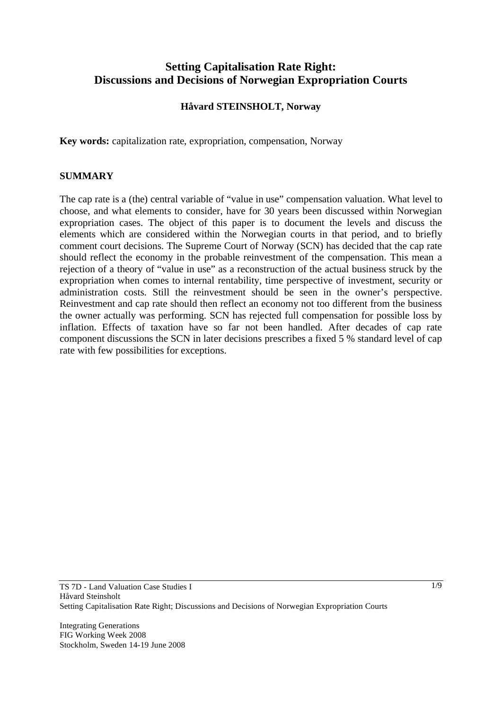# **Setting Capitalisation Rate Right: Discussions and Decisions of Norwegian Expropriation Courts**

### **Håvard STEINSHOLT, Norway**

**Key words:** capitalization rate, expropriation, compensation, Norway

#### **SUMMARY**

The cap rate is a (the) central variable of "value in use" compensation valuation. What level to choose, and what elements to consider, have for 30 years been discussed within Norwegian expropriation cases. The object of this paper is to document the levels and discuss the elements which are considered within the Norwegian courts in that period, and to briefly comment court decisions. The Supreme Court of Norway (SCN) has decided that the cap rate should reflect the economy in the probable reinvestment of the compensation. This mean a rejection of a theory of "value in use" as a reconstruction of the actual business struck by the expropriation when comes to internal rentability, time perspective of investment, security or administration costs. Still the reinvestment should be seen in the owner's perspective. Reinvestment and cap rate should then reflect an economy not too different from the business the owner actually was performing. SCN has rejected full compensation for possible loss by inflation. Effects of taxation have so far not been handled. After decades of cap rate component discussions the SCN in later decisions prescribes a fixed 5 % standard level of cap rate with few possibilities for exceptions.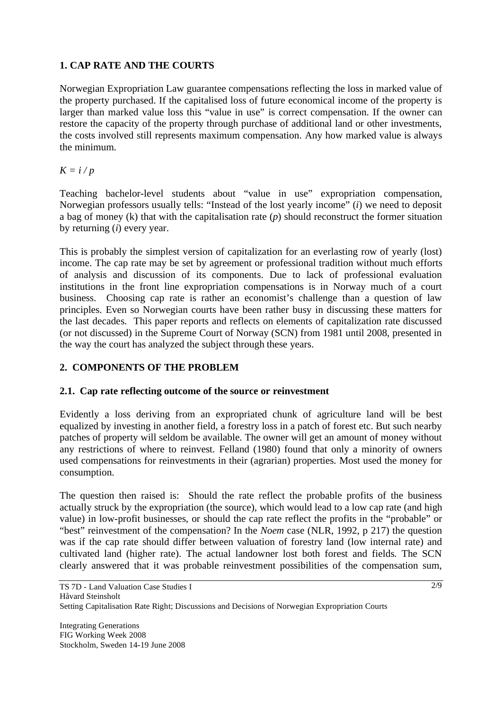# **1. CAP RATE AND THE COURTS**

Norwegian Expropriation Law guarantee compensations reflecting the loss in marked value of the property purchased. If the capitalised loss of future economical income of the property is larger than marked value loss this "value in use" is correct compensation. If the owner can restore the capacity of the property through purchase of additional land or other investments, the costs involved still represents maximum compensation. Any how marked value is always the minimum.

 $K = i/p$ 

Teaching bachelor-level students about "value in use" expropriation compensation, Norwegian professors usually tells: "Instead of the lost yearly income" (*i*) we need to deposit a bag of money (k) that with the capitalisation rate (*p*) should reconstruct the former situation by returning (*i*) every year.

This is probably the simplest version of capitalization for an everlasting row of yearly (lost) income. The cap rate may be set by agreement or professional tradition without much efforts of analysis and discussion of its components. Due to lack of professional evaluation institutions in the front line expropriation compensations is in Norway much of a court business. Choosing cap rate is rather an economist's challenge than a question of law principles. Even so Norwegian courts have been rather busy in discussing these matters for the last decades. This paper reports and reflects on elements of capitalization rate discussed (or not discussed) in the Supreme Court of Norway (SCN) from 1981 until 2008, presented in the way the court has analyzed the subject through these years.

# **2. COMPONENTS OF THE PROBLEM**

# **2.1. Cap rate reflecting outcome of the source or reinvestment**

Evidently a loss deriving from an expropriated chunk of agriculture land will be best equalized by investing in another field, a forestry loss in a patch of forest etc. But such nearby patches of property will seldom be available. The owner will get an amount of money without any restrictions of where to reinvest. Felland (1980) found that only a minority of owners used compensations for reinvestments in their (agrarian) properties. Most used the money for consumption.

The question then raised is: Should the rate reflect the probable profits of the business actually struck by the expropriation (the source), which would lead to a low cap rate (and high value) in low-profit businesses, or should the cap rate reflect the profits in the "probable" or "best" reinvestment of the compensation? In the *Noem* case (NLR, 1992, p 217) the question was if the cap rate should differ between valuation of forestry land (low internal rate) and cultivated land (higher rate). The actual landowner lost both forest and fields. The SCN clearly answered that it was probable reinvestment possibilities of the compensation sum,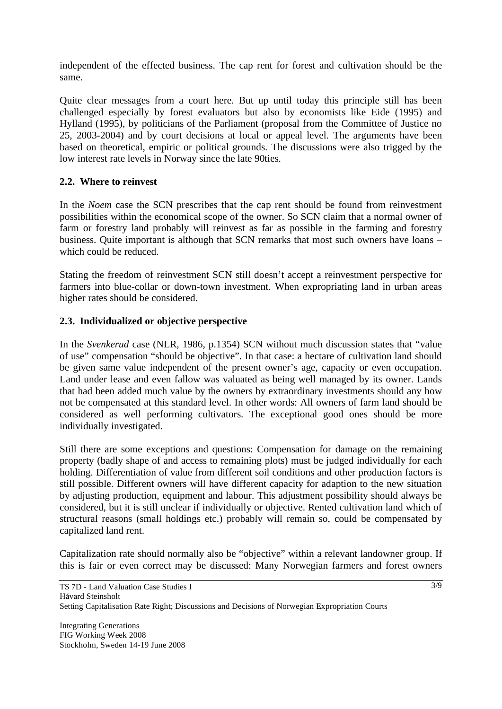independent of the effected business. The cap rent for forest and cultivation should be the same.

Quite clear messages from a court here. But up until today this principle still has been challenged especially by forest evaluators but also by economists like Eide (1995) and Hylland (1995), by politicians of the Parliament (proposal from the Committee of Justice no 25, 2003-2004) and by court decisions at local or appeal level. The arguments have been based on theoretical, empiric or political grounds. The discussions were also trigged by the low interest rate levels in Norway since the late 90ties.

### **2.2. Where to reinvest**

In the *Noem* case the SCN prescribes that the cap rent should be found from reinvestment possibilities within the economical scope of the owner. So SCN claim that a normal owner of farm or forestry land probably will reinvest as far as possible in the farming and forestry business. Quite important is although that SCN remarks that most such owners have loans – which could be reduced.

Stating the freedom of reinvestment SCN still doesn't accept a reinvestment perspective for farmers into blue-collar or down-town investment. When expropriating land in urban areas higher rates should be considered.

### **2.3. Individualized or objective perspective**

In the *Svenkerud* case (NLR, 1986, p.1354) SCN without much discussion states that "value of use" compensation "should be objective". In that case: a hectare of cultivation land should be given same value independent of the present owner's age, capacity or even occupation. Land under lease and even fallow was valuated as being well managed by its owner. Lands that had been added much value by the owners by extraordinary investments should any how not be compensated at this standard level. In other words: All owners of farm land should be considered as well performing cultivators. The exceptional good ones should be more individually investigated.

Still there are some exceptions and questions: Compensation for damage on the remaining property (badly shape of and access to remaining plots) must be judged individually for each holding. Differentiation of value from different soil conditions and other production factors is still possible. Different owners will have different capacity for adaption to the new situation by adjusting production, equipment and labour. This adjustment possibility should always be considered, but it is still unclear if individually or objective. Rented cultivation land which of structural reasons (small holdings etc.) probably will remain so, could be compensated by capitalized land rent.

Capitalization rate should normally also be "objective" within a relevant landowner group. If this is fair or even correct may be discussed: Many Norwegian farmers and forest owners

Integrating Generations FIG Working Week 2008 Stockholm, Sweden 14-19 June 2008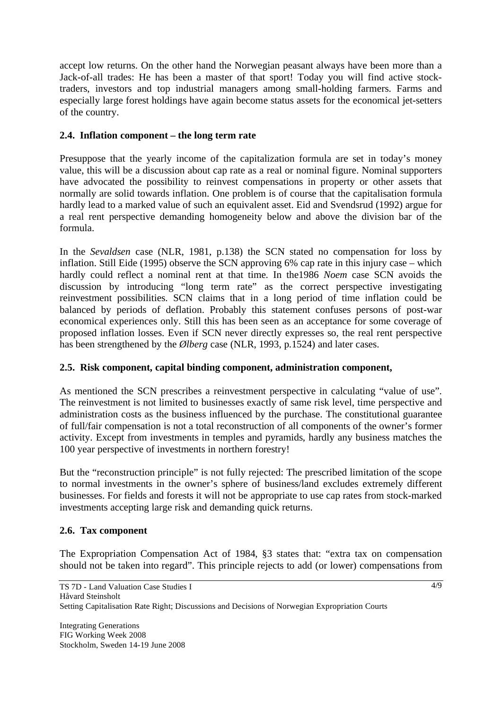accept low returns. On the other hand the Norwegian peasant always have been more than a Jack-of-all trades: He has been a master of that sport! Today you will find active stocktraders, investors and top industrial managers among small-holding farmers. Farms and especially large forest holdings have again become status assets for the economical jet-setters of the country.

### **2.4. Inflation component – the long term rate**

Presuppose that the yearly income of the capitalization formula are set in today's money value, this will be a discussion about cap rate as a real or nominal figure. Nominal supporters have advocated the possibility to reinvest compensations in property or other assets that normally are solid towards inflation. One problem is of course that the capitalisation formula hardly lead to a marked value of such an equivalent asset. Eid and Svendsrud (1992) argue for a real rent perspective demanding homogeneity below and above the division bar of the formula.

In the *Sevaldsen* case (NLR, 1981, p.138) the SCN stated no compensation for loss by inflation. Still Eide (1995) observe the SCN approving 6% cap rate in this injury case – which hardly could reflect a nominal rent at that time. In the1986 *Noem* case SCN avoids the discussion by introducing "long term rate" as the correct perspective investigating reinvestment possibilities. SCN claims that in a long period of time inflation could be balanced by periods of deflation. Probably this statement confuses persons of post-war economical experiences only. Still this has been seen as an acceptance for some coverage of proposed inflation losses. Even if SCN never directly expresses so, the real rent perspective has been strengthened by the *Ølberg* case (NLR, 1993, p.1524) and later cases.

### **2.5. Risk component, capital binding component, administration component,**

As mentioned the SCN prescribes a reinvestment perspective in calculating "value of use". The reinvestment is not limited to businesses exactly of same risk level, time perspective and administration costs as the business influenced by the purchase. The constitutional guarantee of full/fair compensation is not a total reconstruction of all components of the owner's former activity. Except from investments in temples and pyramids, hardly any business matches the 100 year perspective of investments in northern forestry!

But the "reconstruction principle" is not fully rejected: The prescribed limitation of the scope to normal investments in the owner's sphere of business/land excludes extremely different businesses. For fields and forests it will not be appropriate to use cap rates from stock-marked investments accepting large risk and demanding quick returns.

# **2.6. Tax component**

The Expropriation Compensation Act of 1984, §3 states that: "extra tax on compensation should not be taken into regard". This principle rejects to add (or lower) compensations from

Integrating Generations FIG Working Week 2008 Stockholm, Sweden 14-19 June 2008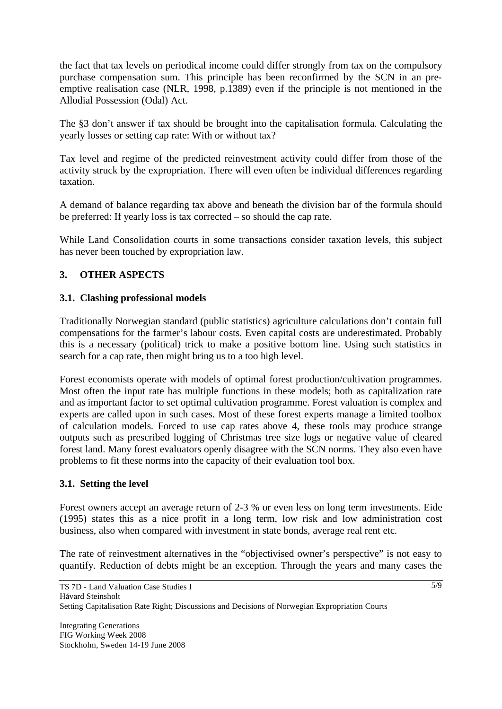the fact that tax levels on periodical income could differ strongly from tax on the compulsory purchase compensation sum. This principle has been reconfirmed by the SCN in an preemptive realisation case (NLR, 1998, p.1389) even if the principle is not mentioned in the Allodial Possession (Odal) Act.

The §3 don't answer if tax should be brought into the capitalisation formula. Calculating the yearly losses or setting cap rate: With or without tax?

Tax level and regime of the predicted reinvestment activity could differ from those of the activity struck by the expropriation. There will even often be individual differences regarding taxation.

A demand of balance regarding tax above and beneath the division bar of the formula should be preferred: If yearly loss is tax corrected – so should the cap rate.

While Land Consolidation courts in some transactions consider taxation levels, this subject has never been touched by expropriation law.

# **3. OTHER ASPECTS**

#### **3.1. Clashing professional models**

Traditionally Norwegian standard (public statistics) agriculture calculations don't contain full compensations for the farmer's labour costs. Even capital costs are underestimated. Probably this is a necessary (political) trick to make a positive bottom line. Using such statistics in search for a cap rate, then might bring us to a too high level.

Forest economists operate with models of optimal forest production/cultivation programmes. Most often the input rate has multiple functions in these models; both as capitalization rate and as important factor to set optimal cultivation programme. Forest valuation is complex and experts are called upon in such cases. Most of these forest experts manage a limited toolbox of calculation models. Forced to use cap rates above 4, these tools may produce strange outputs such as prescribed logging of Christmas tree size logs or negative value of cleared forest land. Many forest evaluators openly disagree with the SCN norms. They also even have problems to fit these norms into the capacity of their evaluation tool box.

#### **3.1. Setting the level**

Forest owners accept an average return of 2-3 % or even less on long term investments. Eide (1995) states this as a nice profit in a long term, low risk and low administration cost business, also when compared with investment in state bonds, average real rent etc.

The rate of reinvestment alternatives in the "objectivised owner's perspective" is not easy to quantify. Reduction of debts might be an exception. Through the years and many cases the

Integrating Generations FIG Working Week 2008 Stockholm, Sweden 14-19 June 2008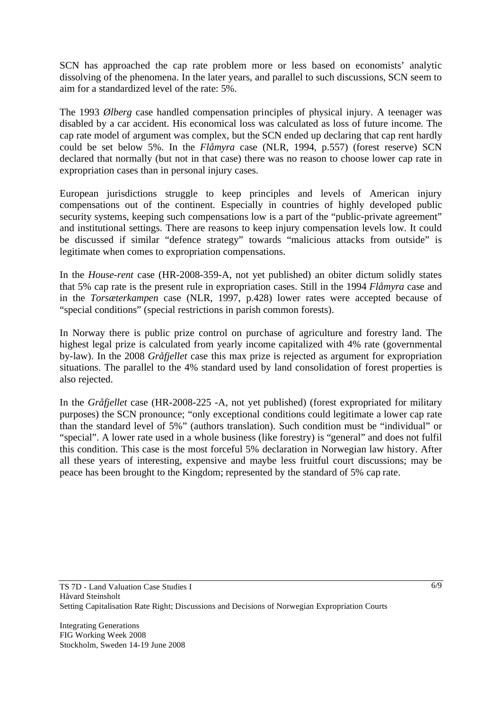SCN has approached the cap rate problem more or less based on economists' analytic dissolving of the phenomena. In the later years, and parallel to such discussions, SCN seem to aim for a standardized level of the rate: 5%.

The 1993 *Ølberg* case handled compensation principles of physical injury. A teenager was disabled by a car accident. His economical loss was calculated as loss of future income. The cap rate model of argument was complex, but the SCN ended up declaring that cap rent hardly could be set below 5%. In the *Flåmyra* case (NLR, 1994, p.557) (forest reserve) SCN declared that normally (but not in that case) there was no reason to choose lower cap rate in expropriation cases than in personal injury cases.

European jurisdictions struggle to keep principles and levels of American injury compensations out of the continent. Especially in countries of highly developed public security systems, keeping such compensations low is a part of the "public-private agreement" and institutional settings. There are reasons to keep injury compensation levels low. It could be discussed if similar "defence strategy" towards "malicious attacks from outside" is legitimate when comes to expropriation compensations.

In the *House-rent* case (HR-2008-359-A, not yet published) an obiter dictum solidly states that 5% cap rate is the present rule in expropriation cases. Still in the 1994 *Flåmyra* case and in the *Torsæterkampen* case (NLR, 1997, p.428) lower rates were accepted because of "special conditions" (special restrictions in parish common forests).

In Norway there is public prize control on purchase of agriculture and forestry land. The highest legal prize is calculated from yearly income capitalized with 4% rate (governmental by-law). In the 2008 *Gråfjellet* case this max prize is rejected as argument for expropriation situations. The parallel to the 4% standard used by land consolidation of forest properties is also rejected.

In the *Gråfjellet* case (HR-2008-225 -A, not yet published) (forest expropriated for military purposes) the SCN pronounce; "only exceptional conditions could legitimate a lower cap rate than the standard level of 5%" (authors translation). Such condition must be "individual" or "special". A lower rate used in a whole business (like forestry) is "general" and does not fulfil this condition. This case is the most forceful 5% declaration in Norwegian law history. After all these years of interesting, expensive and maybe less fruitful court discussions; may be peace has been brought to the Kingdom; represented by the standard of 5% cap rate.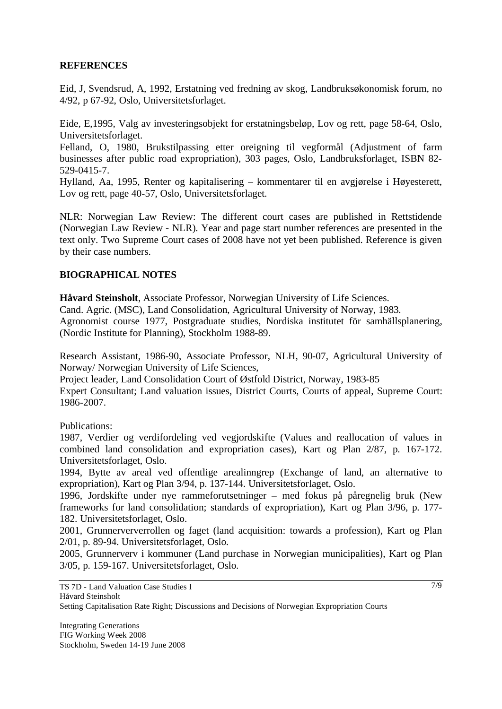#### **REFERENCES**

Eid, J, Svendsrud, A, 1992, Erstatning ved fredning av skog, Landbruksøkonomisk forum, no 4/92, p 67-92, Oslo, Universitetsforlaget.

Eide, E,1995, Valg av investeringsobjekt for erstatningsbeløp, Lov og rett, page 58-64, Oslo, Universitetsforlaget.

Felland, O, 1980, Brukstilpassing etter oreigning til vegformål (Adjustment of farm businesses after public road expropriation), 303 pages, Oslo, Landbruksforlaget, ISBN 82- 529-0415-7.

Hylland, Aa, 1995, Renter og kapitalisering – kommentarer til en avgjørelse i Høyesterett, Lov og rett, page 40-57, Oslo, Universitetsforlaget.

NLR: Norwegian Law Review: The different court cases are published in Rettstidende (Norwegian Law Review - NLR). Year and page start number references are presented in the text only. Two Supreme Court cases of 2008 have not yet been published. Reference is given by their case numbers.

#### **BIOGRAPHICAL NOTES**

**Håvard Steinsholt**, Associate Professor, Norwegian University of Life Sciences.

Cand. Agric. (MSC), Land Consolidation, Agricultural University of Norway, 1983.

Agronomist course 1977, Postgraduate studies, Nordiska institutet för samhällsplanering, (Nordic Institute for Planning), Stockholm 1988-89.

Research Assistant, 1986-90, Associate Professor, NLH, 90-07, Agricultural University of Norway/ Norwegian University of Life Sciences,

Project leader, Land Consolidation Court of Østfold District, Norway, 1983-85

Expert Consultant; Land valuation issues, District Courts, Courts of appeal, Supreme Court: 1986-2007.

Publications:

1987, Verdier og verdifordeling ved vegjordskifte (Values and reallocation of values in combined land consolidation and expropriation cases), Kart og Plan 2/87, p. 167-172. Universitetsforlaget, Oslo.

1994, Bytte av areal ved offentlige arealinngrep (Exchange of land, an alternative to expropriation), Kart og Plan 3/94, p. 137-144. Universitetsforlaget, Oslo.

1996, Jordskifte under nye rammeforutsetninger – med fokus på påregnelig bruk (New frameworks for land consolidation; standards of expropriation), Kart og Plan 3/96, p. 177- 182. Universitetsforlaget, Oslo.

2001, Grunnerververrollen og faget (land acquisition: towards a profession), Kart og Plan 2/01, p. 89-94. Universitetsforlaget, Oslo.

2005, Grunnerverv i kommuner (Land purchase in Norwegian municipalities), Kart og Plan 3/05, p. 159-167. Universitetsforlaget, Oslo.

TS 7D - Land Valuation Case Studies I Håvard Steinsholt Setting Capitalisation Rate Right; Discussions and Decisions of Norwegian Expropriation Courts

Integrating Generations FIG Working Week 2008 Stockholm, Sweden 14-19 June 2008